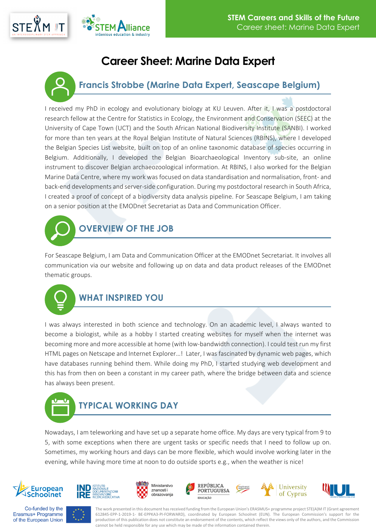

## **Career Sheet: Marine Data Expert**



I received my PhD in ecology and evolutionary biology at KU Leuven. After it, I was a postdoctoral research fellow at the Centre for Statistics in Ecology, the Environment and Conservation (SEEC) at the University of Cape Town (UCT) and the South African National Biodiversity Institute (SANBI). I worked for more than ten years at the Royal Belgian Institute of Natural Sciences (RBINS), where I developed the Belgian Species List website, built on top of an online taxonomic database of species occurring in Belgium. Additionally, I developed the Belgian Bioarchaeological Inventory sub-site, an online instrument to discover Belgian archaeozoological information. At RBINS, I also worked for the Belgian Marine Data Centre, where my work was focused on data standardisation and normalisation, front- and back-end developments and server-side configuration. During my postdoctoral research in South Africa, I created a proof of concept of a biodiversity data analysis pipeline. For Seascape Belgium, I am taking on a senior position at the EMODnet Secretariat as Data and Communication Officer.



For Seascape Belgium, I am Data and Communication Officer at the EMODnet Secretariat. It involves all communication via our website and following up on data and data product releases of the EMODnet thematic groups.



## **WHAT INSPIRED YOU**

I was always interested in both science and technology. On an academic level, I always wanted to become a biologist, while as a hobby I started creating websites for myself when the internet was becoming more and more accessible at home (with low-bandwidth connection). I could test run my first HTML pages on Netscape and Internet Explorer…! Later, I was fascinated by dynamic web pages, which have databases running behind them. While doing my PhD, I started studying web development and this has from then on been a constant in my career path, where the bridge between data and science has always been present.



Nowadays, I am teleworking and have set up a separate home office. My days are very typical from 9 to 5, with some exceptions when there are urgent tasks or specific needs that I need to follow up on. Sometimes, my working hours and days can be more flexible, which would involve working later in the evening, while having more time at noon to do outside sports e.g., when the weather is nice!



















The work presented in this document has received funding from the European Union's ERASMUS+ programme project STE(A)M IT (Grant agreement 612845-EPP-1-2019-1- BE-EPPKA3-PI-FORWARD), coordinated by European Schoolnet (EUN). The European Commission's support for the production of this publication does not constitute an endorsement of the contents, which reflect the views only of the authors, and the Commission cannot be held responsible for any use which may be made of the information contained therein.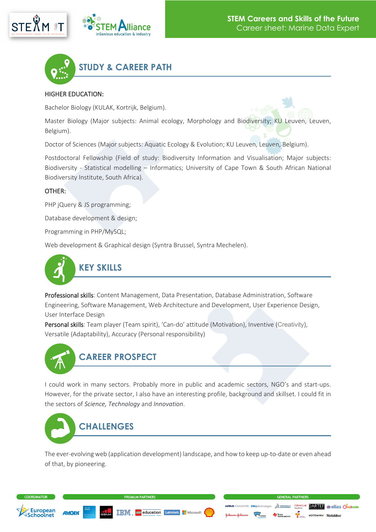





#### HIGHER EDUCATION:

Bachelor Biology (KULAK, Kortrijk, Belgium).

Master Biology (Major subjects: Animal ecology, Morphology and Biodiversity; KU Leuven, Leuven, Belgium).

Doctor of Sciences (Major subjects: Aquatic Ecology & Evolution; KU Leuven, Leuven, Belgium).

Postdoctoral Fellowship (Field of study: Biodiversity Information and Visualisation; Major subjects: Biodiversity - Statistical modelling – Informatics; University of Cape Town & South African National Biodiversity Institute, South Africa).

#### OTHER:

PHP jQuery & JS programming:

Database development & design;

Programming in PHP/MySQL;

Web development & Graphical design (Syntra Brussel, Syntra Mechelen).



Professional skills: Content Management, Data Presentation, Database Administration, Software Engineering, Software Management, Web Architecture and Development, User Experience Design, User Interface Design

Personal skills: Team player (Team spirit), 'Can-do' attitude (Motivation), Inventive (Creativity), Versatile (Adaptability), Accuracy (Personal responsibility)



### **CAREER PROSPECT**

I could work in many sectors. Probably more in public and academic sectors, NGO's and start-ups. However, for the private sector, I also have an interesting profile, background and skillset. I could fit in the sectors of *Science, Technology* and *Innovation*.



The ever-evolving web (application development) landscape, and how to keep up-to-date or even ahead of that, by pioneering.

**TRM** *use* education Lenovo. HMicrosoft